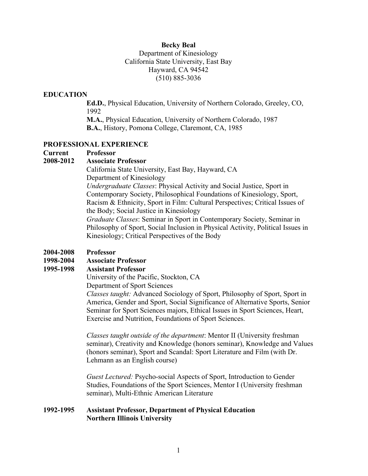### **Becky Beal**

### Department of Kinesiology California State University, East Bay Hayward, CA 94542 (510) 885-3036

### **EDUCATION**

**Ed.D.**, Physical Education, University of Northern Colorado, Greeley, CO, 1992

**M.A.**, Physical Education, University of Northern Colorado, 1987 **B.A.**, History, Pomona College, Claremont, CA, 1985

#### **PROFESSIONAL EXPERIENCE**

#### **Current Professor**

#### **2008-2012 Associate Professor**

California State University, East Bay, Hayward, CA Department of Kinesiology

*Undergraduate Classes*: Physical Activity and Social Justice, Sport in Contemporary Society, Philosophical Foundations of Kinesiology, Sport, Racism & Ethnicity, Sport in Film: Cultural Perspectives; Critical Issues of the Body; Social Justice in Kinesiology

*Graduate Classes*: Seminar in Sport in Contemporary Society, Seminar in Philosophy of Sport, Social Inclusion in Physical Activity, Political Issues in Kinesiology; Critical Perspectives of the Body

#### **2004-2008 Professor**

#### **1998-2004 Associate Professor**

#### **1995-1998 Assistant Professor**

University of the Pacific, Stockton, CA

Department of Sport Sciences

*Classes taught:* Advanced Sociology of Sport, Philosophy of Sport, Sport in America, Gender and Sport, Social Significance of Alternative Sports, Senior Seminar for Sport Sciences majors, Ethical Issues in Sport Sciences, Heart, Exercise and Nutrition, Foundations of Sport Sciences.

*Classes taught outside of the department*: Mentor II (University freshman seminar), Creativity and Knowledge (honors seminar), Knowledge and Values (honors seminar), Sport and Scandal: Sport Literature and Film (with Dr. Lehmann as an English course)

*Guest Lectured:* Psycho-social Aspects of Sport, Introduction to Gender Studies, Foundations of the Sport Sciences, Mentor I (University freshman seminar), Multi-Ethnic American Literature

### **1992-1995 Assistant Professor, Department of Physical Education Northern Illinois University**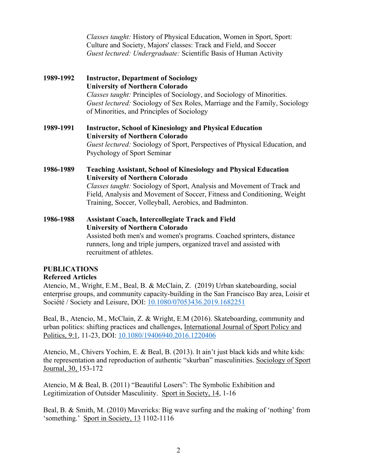*Classes taught:* History of Physical Education, Women in Sport, Sport: Culture and Society, Majors' classes: Track and Field, and Soccer *Guest lectured: Undergraduate:* Scientific Basis of Human Activity

### **1989-1992 Instructor, Department of Sociology University of Northern Colorado** *Classes taught:* Principles of Sociology, and Sociology of Minorities. *Guest lectured:* Sociology of Sex Roles, Marriage and the Family, Sociology of Minorities, and Principles of Sociology

**1989-1991 Instructor, School of Kinesiology and Physical Education University of Northern Colorado** *Guest lectured:* Sociology of Sport, Perspectives of Physical Education, and Psychology of Sport Seminar

**1986-1989 Teaching Assistant, School of Kinesiology and Physical Education University of Northern Colorado** *Classes taught:* Sociology of Sport, Analysis and Movement of Track and

Field, Analysis and Movement of Soccer, Fitness and Conditioning, Weight Training, Soccer, Volleyball, Aerobics, and Badminton.

**1986-1988 Assistant Coach, Intercollegiate Track and Field University of Northern Colorado** Assisted both men's and women's programs. Coached sprinters, distance runners, long and triple jumpers, organized travel and assisted with recruitment of athletes.

## **PUBLICATIONS**

### **Refereed Articles**

Atencio, M., Wright, E.M., Beal, B. & McClain, Z. (2019) Urban skateboarding, social enterprise groups, and community capacity-building in the San Francisco Bay area, Loisir et Société / Society and Leisure, DOI: 10.1080/07053436.2019.1682251

Beal, B., Atencio, M., McClain, Z. & Wright, E.M (2016). Skateboarding, community and urban politics: shifting practices and challenges, International Journal of Sport Policy and Politics, 9:1, 11-23, DOI: 10.1080/19406940.2016.1220406

Atencio, M., Chivers Yochim, E. & Beal, B. (2013). It ain't just black kids and white kids: the representation and reproduction of authentic "skurban" masculinities. Sociology of Sport Journal, 30, 153-172

Atencio, M & Beal, B. (2011) "Beautiful Losers": The Symbolic Exhibition and Legitimization of Outsider Masculinity. Sport in Society, 14, 1-16

Beal, B. & Smith, M. (2010) Mavericks: Big wave surfing and the making of 'nothing' from 'something.' Sport in Society, 13 1102-1116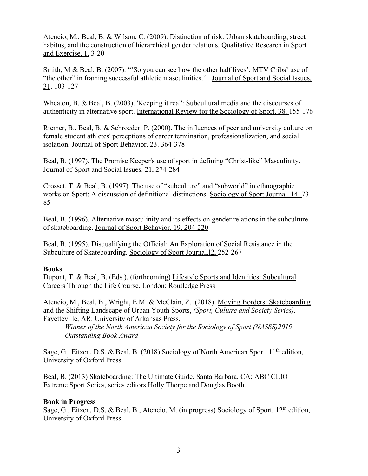Atencio, M., Beal, B. & Wilson, C. (2009). Distinction of risk: Urban skateboarding, street habitus, and the construction of hierarchical gender relations. Qualitative Research in Sport and Exercise, 1, 3-20

Smith, M & Beal, B. (2007). "'So you can see how the other half lives': MTV Cribs' use of "the other" in framing successful athletic masculinities." Journal of Sport and Social Issues, 31. 103-127

Wheaton, B. & Beal, B. (2003). 'Keeping it real': Subcultural media and the discourses of authenticity in alternative sport. International Review for the Sociology of Sport. 38. 155-176

Riemer, B., Beal, B. & Schroeder, P. (2000). The influences of peer and university culture on female student athletes' perceptions of career termination, professionalization, and social isolation, Journal of Sport Behavior. 23. 364-378

Beal, B. (1997). The Promise Keeper's use of sport in defining "Christ-like" Masculinity. Journal of Sport and Social Issues. 21, 274-284

Crosset, T. & Beal, B. (1997). The use of "subculture" and "subworld" in ethnographic works on Sport: A discussion of definitional distinctions. Sociology of Sport Journal. 14. 73- 85

Beal, B. (1996). Alternative masculinity and its effects on gender relations in the subculture of skateboarding. Journal of Sport Behavior, 19, 204-220

Beal, B. (1995). Disqualifying the Official: An Exploration of Social Resistance in the Subculture of Skateboarding. Sociology of Sport Journal.l2, 252-267

### **Books**

Dupont, T. & Beal, B. (Eds.). (forthcoming) Lifestyle Sports and Identities: Subcultural Careers Through the Life Course. London: Routledge Press

Atencio, M., Beal, B., Wright, E.M. & McClain, Z. (2018). Moving Borders: Skateboarding and the Shifting Landscape of Urban Youth Sports, *(Sport, Culture and Society Series),*  Fayetteville, AR: University of Arkansas Press.

*Winner of the North American Society for the Sociology of Sport (NASSS)2019 Outstanding Book Award*

Sage, G., Eitzen, D.S. & Beal, B. (2018) Sociology of North American Sport,  $11<sup>th</sup>$  edition, University of Oxford Press

Beal, B. (2013) Skateboarding: The Ultimate Guide. Santa Barbara, CA: ABC CLIO Extreme Sport Series, series editors Holly Thorpe and Douglas Booth.

## **Book in Progress**

Sage, G., Eitzen, D.S. & Beal, B., Atencio, M. (in progress) Sociology of Sport, 12<sup>th</sup> edition, University of Oxford Press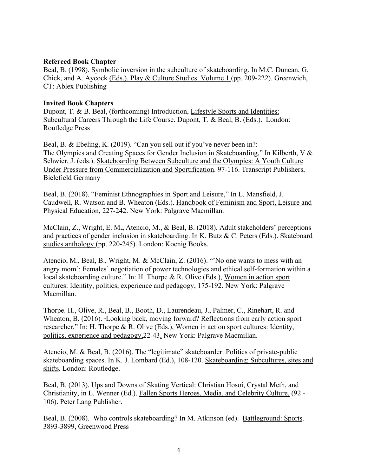#### **Refereed Book Chapter**

Beal, B. (1998). Symbolic inversion in the subculture of skateboarding. In M.C. Duncan, G. Chick, and A. Aycock (Eds.). Play & Culture Studies. Volume 1 (pp. 209-222). Greenwich, CT: Ablex Publishing

#### **Invited Book Chapters**

Dupont, T. & B. Beal, (forthcoming) Introduction, Lifestyle Sports and Identities: Subcultural Careers Through the Life Course. Dupont, T. & Beal, B. (Eds.). London: Routledge Press

Beal, B. & Ebeling, K. (2019). "Can you sell out if you've never been in?: The Olympics and Creating Spaces for Gender Inclusion in Skateboarding," In Kilberth, V & Schwier, J. (eds.). Skateboarding Between Subculture and the Olympics: A Youth Culture Under Pressure from Commercialization and Sportification. 97-116. Transcript Publishers, Bielefield Germany

Beal, B. (2018). "Feminist Ethnographies in Sport and Leisure," In L. Mansfield, J. Caudwell, R. Watson and B. Wheaton (Eds.). Handbook of Feminism and Sport, Leisure and Physical Education, 227-242. New York: Palgrave Macmillan.

McClain, Z., Wright, E. M**.,** Atencio, M., & Beal, B. (2018). Adult stakeholders' perceptions and practices of gender inclusion in skateboarding. In K. Butz & C. Peters (Eds.). Skateboard studies anthology (pp. 220-245). London: Koenig Books.

Atencio, M., Beal, B., Wright, M. & McClain, Z. (2016). "'No one wants to mess with an angry mom': Females' negotiation of power technologies and ethical self-formation within a local skateboarding culture." In: H. Thorpe & R. Olive (Eds.), Women in action sport cultures: Identity, politics, experience and pedagogy, 175-192. New York: Palgrave Macmillan.

Thorpe. H., Olive, R., Beal, B., Booth, D., Laurendeau, J., Palmer, C., Rinehart, R. and Wheaton, B. (2016). **"**Looking back, moving forward? Reflections from early action sport researcher," In: H. Thorpe & R. Olive (Eds.), Women in action sport cultures: Identity, politics, experience and pedagogy,22-43. New York: Palgrave Macmillan.

Atencio, M. & Beal, B. (2016). The "legitimate" skateboarder: Politics of private-public skateboarding spaces. In K. J. Lombard (Ed.), 108-120. Skateboarding: Subcultures, sites and shifts*.* London: Routledge.

Beal, B. (2013). Ups and Downs of Skating Vertical: Christian Hosoi, Crystal Meth, and Christianity, in L. Wenner (Ed.). Fallen Sports Heroes, Media, and Celebrity Culture, (92 - 106). Peter Lang Publisher.

Beal, B. (2008). Who controls skateboarding? In M. Atkinson (ed). Battleground: Sports. 3893-3899, Greenwood Press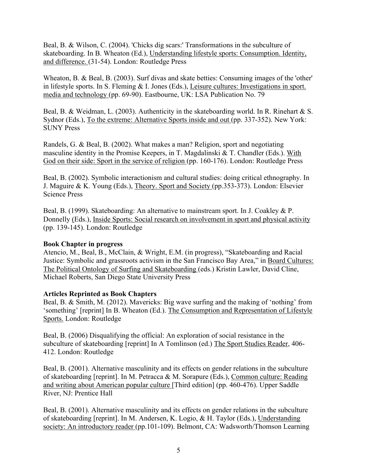Beal, B. & Wilson, C. (2004). 'Chicks dig scars:' Transformations in the subculture of skateboarding. In B. Wheaton (Ed.), Understanding lifestyle sports: Consumption. Identity, and difference. (31-54). London: Routledge Press

Wheaton, B. & Beal, B. (2003). Surf divas and skate betties: Consuming images of the 'other' in lifestyle sports. In S. Fleming & I. Jones (Eds.), Leisure cultures: Investigations in sport. media and technology (pp. 69-90). Eastbourne, UK: LSA Publication No. 79

Beal, B. & Weidman, L. (2003). Authenticity in the skateboarding world. In R. Rinehart & S. Sydnor (Eds.), To the extreme: Alternative Sports inside and out (pp. 337-352). New York: SUNY Press

Randels, G. & Beal, B. (2002). What makes a man? Religion, sport and negotiating masculine identity in the Promise Keepers, in T. Magdalinski & T. Chandler (Eds.). With God on their side: Sport in the service of religion (pp. 160-176). London: Routledge Press

Beal, B. (2002). Symbolic interactionism and cultural studies: doing critical ethnography. In J. Maguire & K. Young (Eds.), Theory. Sport and Society (pp.353-373). London: Elsevier Science Press

Beal, B. (1999). Skateboarding: An alternative to mainstream sport. In J. Coakley & P. Donnelly (Eds.), Inside Sports: Social research on involvement in sport and physical activity (pp. 139-145). London: Routledge

### **Book Chapter in progress**

Atencio, M., Beal, B., McClain, & Wright, E.M. (in progress), "Skateboarding and Racial Justice: Symbolic and grassroots activism in the San Francisco Bay Area," in Board Cultures: The Political Ontology of Surfing and Skateboarding (eds.) Kristin Lawler, David Cline, Michael Roberts, San Diego State University Press

### **Articles Reprinted as Book Chapters**

Beal, B. & Smith, M. (2012). Mavericks: Big wave surfing and the making of 'nothing' from 'something' [reprint] In B. Wheaton (Ed.). The Consumption and Representation of Lifestyle Sports. London: Routledge

Beal, B. (2006) Disqualifying the official: An exploration of social resistance in the subculture of skateboarding [reprint] In A Tomlinson (ed.) The Sport Studies Reader, 406- 412. London: Routledge

Beal, B. (2001). Alternative masculinity and its effects on gender relations in the subculture of skateboarding [reprint]. In M. Petracca & M. Sorapure (Eds.), Common culture: Reading and writing about American popular culture [Third edition] (pp. 460-476). Upper Saddle River, NJ: Prentice Hall

Beal, B. (2001). Alternative masculinity and its effects on gender relations in the subculture of skateboarding [reprint]. In M. Andersen, K. Logio, & H. Taylor (Eds.), Understanding society: An introductory reader (pp.101-109). Belmont, CA: Wadsworth/Thomson Learning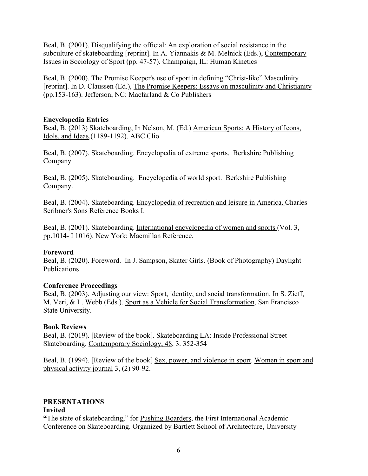Beal, B. (2001). Disqualifying the official: An exploration of social resistance in the subculture of skateboarding [reprint]. In A. Yiannakis & M. Melnick (Eds.), Contemporary Issues in Sociology of Sport (pp. 47-57). Champaign, IL: Human Kinetics

Beal, B. (2000). The Promise Keeper's use of sport in defining "Christ-like" Masculinity [reprint]. In D. Claussen (Ed.), The Promise Keepers: Essays on masculinity and Christianity (pp.153-163). Jefferson, NC: Macfarland & Co Publishers

### **Encyclopedia Entries**

Beal, B. (2013) Skateboarding, In Nelson, M. (Ed.) American Sports: A History of Icons, Idols, and Ideas,(1189-1192). ABC Clio

Beal, B. (2007). Skateboarding. Encyclopedia of extreme sports. Berkshire Publishing Company

Beal, B. (2005). Skateboarding. Encyclopedia of world sport. Berkshire Publishing Company.

Beal, B. (2004). Skateboarding. Encyclopedia of recreation and leisure in America. Charles Scribner's Sons Reference Books I.

Beal, B. (2001). Skateboarding. International encyclopedia of women and sports (Vol. 3, pp.1014- I 1016). New York: Macmillan Reference.

## **Foreword**

Beal, B. (2020). Foreword. In J. Sampson, Skater Girls. (Book of Photography) Daylight Publications

## **Conference Proceedings**

Beal, B. (2003). Adjusting our view: Sport, identity, and social transformation. In S. Zieff, M. Veri, & L. Webb (Eds.). Sport as a Vehicle for Social Transformation, San Francisco State University.

## **Book Reviews**

Beal, B. (2019). [Review of the book]. Skateboarding LA: Inside Professional Street Skateboarding. Contemporary Sociology, 48, 3. 352-354

Beal, B. (1994). [Review of the book] Sex, power, and violence in sport. Women in sport and physical activity journal 3, (2) 90-92.

# **PRESENTATIONS**

### **Invited**

**"**The state of skateboarding," for Pushing Boarders, the First International Academic Conference on Skateboarding. Organized by Bartlett School of Architecture, University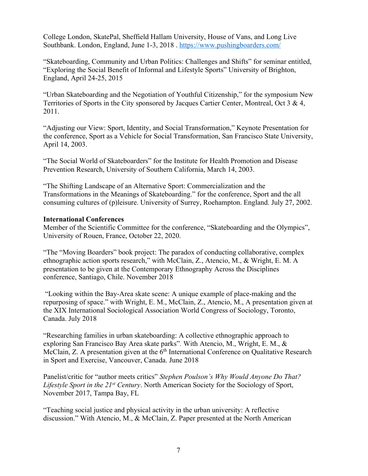College London, SkatePal, Sheffield Hallam University, House of Vans, and Long Live Southbank. London, England, June 1-3, 2018 . https://www.pushingboarders.com/

"Skateboarding, Community and Urban Politics: Challenges and Shifts" for seminar entitled, "Exploring the Social Benefit of Informal and Lifestyle Sports" University of Brighton, England, April 24-25, 2015

"Urban Skateboarding and the Negotiation of Youthful Citizenship," for the symposium New Territories of Sports in the City sponsored by Jacques Cartier Center, Montreal, Oct 3 & 4, 2011.

"Adjusting our View: Sport, Identity, and Social Transformation," Keynote Presentation for the conference, Sport as a Vehicle for Social Transformation, San Francisco State University, April 14, 2003.

"The Social World of Skateboarders" for the Institute for Health Promotion and Disease Prevention Research, University of Southern California, March 14, 2003.

"The Shifting Landscape of an Alternative Sport: Commercialization and the Transformations in the Meanings of Skateboarding." for the conference, Sport and the all consuming cultures of (p)leisure. University of Surrey, Roehampton. England. July 27, 2002.

### **International Conferences**

Member of the Scientific Committee for the conference, "Skateboarding and the Olympics", University of Rouen, France, October 22, 2020.

"The "Moving Boarders" book project: The paradox of conducting collaborative, complex ethnographic action sports research," with McClain, Z., Atencio, M., & Wright, E. M. A presentation to be given at the Contemporary Ethnography Across the Disciplines conference, Santiago, Chile. November 2018

"Looking within the Bay-Area skate scene: A unique example of place-making and the repurposing of space." with Wright, E. M., McClain, Z., Atencio, M., A presentation given at the XIX International Sociological Association World Congress of Sociology, Toronto, Canada. July 2018

"Researching families in urban skateboarding: A collective ethnographic approach to exploring San Francisco Bay Area skate parks"*.* With Atencio, M., Wright, E. M., & McClain, Z. A presentation given at the 6<sup>th</sup> International Conference on Qualitative Research in Sport and Exercise, Vancouver, Canada. June 2018

Panelist/critic for "author meets critics" *Stephen Poulson's Why Would Anyone Do That? Lifestyle Sport in the 21st Century*. North American Society for the Sociology of Sport, November 2017, Tampa Bay, FL

"Teaching social justice and physical activity in the urban university: A reflective discussion." With Atencio, M., & McClain, Z. Paper presented at the North American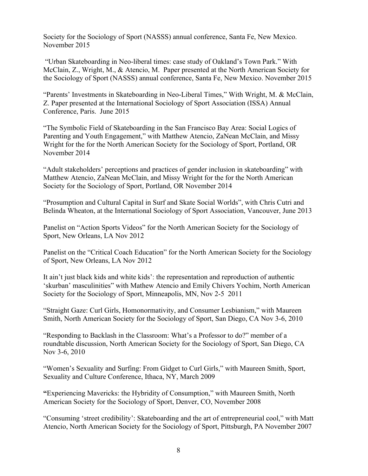Society for the Sociology of Sport (NASSS) annual conference, Santa Fe, New Mexico. November 2015

"Urban Skateboarding in Neo-liberal times: case study of Oakland's Town Park." With McClain, Z., Wright, M., & Atencio, M. Paper presented at the North American Society for the Sociology of Sport (NASSS) annual conference, Santa Fe, New Mexico. November 2015

"Parents' Investments in Skateboarding in Neo-Liberal Times," With Wright, M. & McClain, Z. Paper presented at the International Sociology of Sport Association (ISSA) Annual Conference, Paris. June 2015

"The Symbolic Field of Skateboarding in the San Francisco Bay Area: Social Logics of Parenting and Youth Engagement," with Matthew Atencio, ZaNean McClain, and Missy Wright for the for the North American Society for the Sociology of Sport, Portland, OR November 2014

"Adult stakeholders' perceptions and practices of gender inclusion in skateboarding" with Matthew Atencio, ZaNean McClain, and Missy Wright for the for the North American Society for the Sociology of Sport, Portland, OR November 2014

"Prosumption and Cultural Capital in Surf and Skate Social Worlds", with Chris Cutri and Belinda Wheaton, at the International Sociology of Sport Association, Vancouver, June 2013

Panelist on "Action Sports Videos" for the North American Society for the Sociology of Sport, New Orleans, LA Nov 2012

Panelist on the "Critical Coach Education" for the North American Society for the Sociology of Sport, New Orleans, LA Nov 2012

It ain't just black kids and white kids': the representation and reproduction of authentic 'skurban' masculinities" with Mathew Atencio and Emily Chivers Yochim, North American Society for the Sociology of Sport, Minneapolis, MN, Nov 2-5 2011

"Straight Gaze: Curl Girls, Homonormativity, and Consumer Lesbianism," with Maureen Smith, North American Society for the Sociology of Sport, San Diego, CA Nov 3-6, 2010

"Responding to Backlash in the Classroom: What's a Professor to do?" member of a roundtable discussion, North American Society for the Sociology of Sport, San Diego, CA Nov 3-6, 2010

"Women's Sexuality and Surfing: From Gidget to Curl Girls," with Maureen Smith, Sport, Sexuality and Culture Conference, Ithaca, NY, March 2009

**"**Experiencing Mavericks: the Hybridity of Consumption," with Maureen Smith, North American Society for the Sociology of Sport, Denver, CO, November 2008

"Consuming 'street credibility': Skateboarding and the art of entrepreneurial cool," with Matt Atencio, North American Society for the Sociology of Sport, Pittsburgh, PA November 2007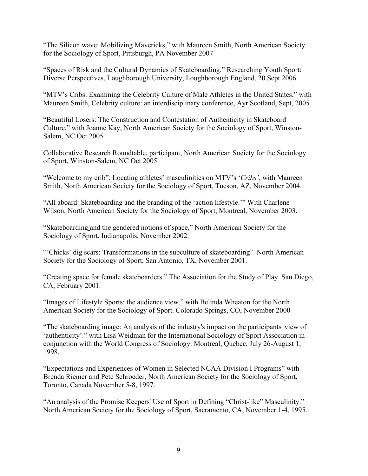"The Silicon wave: Mobilizing Mavericks," with Maureen Smith, North American Society for the Sociology of Sport, Pittsburgh, PA November 2007

"Spaces of Risk and the Cultural Dynamics of Skateboarding," Researching Youth Sport: Diverse Perspectives, Loughborough University, Loughborough England, 20 Sept 2006

"MTV's Cribs: Examining the Celebrity Culture of Male Athletes in the United States," with Maureen Smith, Celebrity culture: an interdisciplinary conference, Ayr Scotland, Sept, 2005

"Beautiful Losers: The Construction and Contestation of Authenticity in Skateboard Culture," with Joanne Kay, North American Society for the Sociology of Sport, Winston-Salem, NC Oct 2005

Collaborative Research Roundtable, participant, North American Society for the Sociology of Sport, Winston-Salem, NC Oct 2005

"Welcome to my crib": Locating athletes' masculinities on MTV's '*Cribs'*, with Maureen Smith, North American Society for the Sociology of Sport, Tucson, AZ, November 2004.

"All aboard: Skateboarding and the branding of the 'action lifestyle.'" With Charlene Wilson, North American Society for the Sociology of Sport, Montreal, November 2003.

"Skateboarding and the gendered notions of space," North American Society for the Sociology of Sport, Indianapolis, November 2002.

"Chicks' dig scars: Transformations in the subculture of skateboarding". North American Society for the Sociology of Sport, San Antonio, TX, November 2001.

"Creating space for female skateboarders." The Association for the Study of Play. San Diego, CA, February 2001.

"Images of Lifestyle Sports: the audience view." with Belinda Wheaton for the North American Society for the Sociology of Sport. Colorado Springs, CO, November 2000

"The skateboarding image: An analysis of the industry's impact on the participants' view of 'authenticity'." with Lisa Weidman for the International Sociology of Sport Association in conjunction with the World Congress of Sociology. Montreal, Quebec, July 26-August 1, 1998.

"Expectations and Experiences of Women in Selected NCAA Division I Programs" with Brenda Riemer and Pete Schroeder, North American Society for the Sociology of Sport, Toronto, Canada November 5-8, 1997.

"An analysis of the Promise Keepers' Use of Sport in Defining "Christ-like" Masculinity." North American Society for the Sociology of Sport, Sacramento, CA, November 1-4, 1995.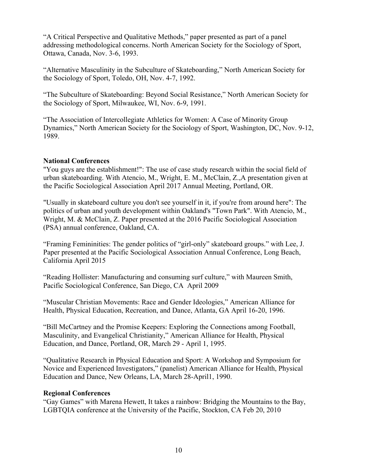"A Critical Perspective and Qualitative Methods," paper presented as part of a panel addressing methodological concerns. North American Society for the Sociology of Sport, Ottawa, Canada, Nov. 3-6, 1993.

"Alternative Masculinity in the Subculture of Skateboarding," North American Society for the Sociology of Sport, Toledo, OH, Nov. 4-7, 1992.

"The Subculture of Skateboarding: Beyond Social Resistance," North American Society for the Sociology of Sport, Milwaukee, WI, Nov. 6-9, 1991.

"The Association of Intercollegiate Athletics for Women: A Case of Minority Group Dynamics," North American Society for the Sociology of Sport, Washington, DC, Nov. 9-12, 1989.

### **National Conferences**

"You guys are the establishment!": The use of case study research within the social field of urban skateboarding. With Atencio, M., Wright, E. M., McClain, Z.,A presentation given at the Pacific Sociological Association April 2017 Annual Meeting, Portland, OR.

"Usually in skateboard culture you don't see yourself in it, if you're from around here": The politics of urban and youth development within Oakland's "Town Park". With Atencio, M., Wright, M. & McClain, Z. Paper presented at the 2016 Pacific Sociological Association (PSA) annual conference, Oakland, CA.

"Framing Femininities: The gender politics of "girl-only" skateboard groups." with Lee, J. Paper presented at the Pacific Sociological Association Annual Conference, Long Beach, California April 2015

"Reading Hollister: Manufacturing and consuming surf culture," with Maureen Smith, Pacific Sociological Conference, San Diego, CA April 2009

"Muscular Christian Movements: Race and Gender Ideologies," American Alliance for Health, Physical Education, Recreation, and Dance, Atlanta, GA April 16-20, 1996.

"Bill McCartney and the Promise Keepers: Exploring the Connections among Football, Masculinity, and Evangelical Christianity," American Alliance for Health, Physical Education, and Dance, Portland, OR, March 29 - April 1, 1995.

"Qualitative Research in Physical Education and Sport: A Workshop and Symposium for Novice and Experienced Investigators," (panelist) American Alliance for Health, Physical Education and Dance, New Orleans, LA, March 28-April1, 1990.

### **Regional Conferences**

"Gay Games" with Marena Hewett, It takes a rainbow: Bridging the Mountains to the Bay, LGBTQIA conference at the University of the Pacific, Stockton, CA Feb 20, 2010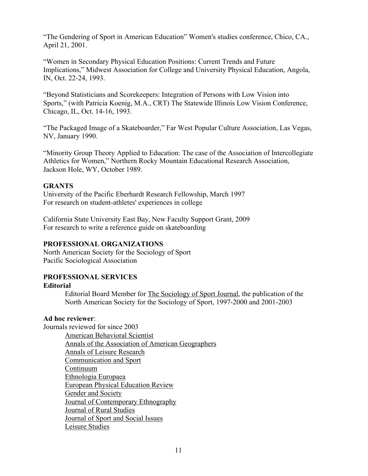"The Gendering of Sport in American Education" Women's studies conference, Chico, CA., April 21, 2001.

"Women in Secondary Physical Education Positions: Current Trends and Future Implications," Midwest Association for College and University Physical Education, Angola, IN, Oct. 22-24, 1993.

"Beyond Statisticians and Scorekeepers: Integration of Persons with Low Vision into Sports," (with Patricia Koenig, M.A., CRT) The Statewide Illinois Low Vision Conference, Chicago, IL, Oct. 14-16, 1993.

"The Packaged Image of a Skateboarder," Far West Popular Culture Association, Las Vegas, NV, January 1990.

"Minority Group Theory Applied to Education: The case of the Association of Intercollegiate Athletics for Women," Northern Rocky Mountain Educational Research Association, Jackson Hole, WY, October 1989.

### **GRANTS**

University of the Pacific Eberhardt Research Fellowship, March 1997 For research on student-athletes' experiences in college

California State University East Bay, New Faculty Support Grant, 2009 For research to write a reference guide on skateboarding

## **PROFESSIONAL ORGANIZATIONS**

North American Society for the Sociology of Sport Pacific Sociological Association

### **PROFESSIONAL SERVICES**

### **Editorial**

Editorial Board Member for The Sociology of Sport Journal, the publication of the North American Society for the Sociology of Sport, 1997-2000 and 2001-2003

### **Ad hoc reviewer**:

Journals reviewed for since 2003

American Behavioral Scientist Annals of the Association of American Geographers Annals of Leisure Research Communication and Sport Continuum Ethnologia Europaea European Physical Education Review **Gender and Society** Journal of Contemporary Ethnography Journal of Rural Studies Journal of Sport and Social Issues Leisure Studies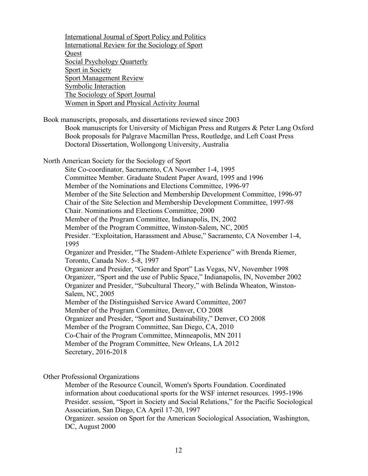International Journal of Sport Policy and Politics International Review for the Sociology of Sport **Ouest** Social Psychology Quarterly Sport in Society Sport Management Review Symbolic Interaction The Sociology of Sport Journal Women in Sport and Physical Activity Journal Book manuscripts, proposals, and dissertations reviewed since 2003 Book manuscripts for University of Michigan Press and Rutgers & Peter Lang Oxford Book proposals for Palgrave Macmillan Press, Routledge, and Left Coast Press Doctoral Dissertation, Wollongong University, Australia North American Society for the Sociology of Sport Site Co-coordinator, Sacramento, CA November 1-4, 1995 Committee Member. Graduate Student Paper Award, 1995 and 1996 Member of the Nominations and Elections Committee, 1996-97 Member of the Site Selection and Membership Development Committee, 1996-97 Chair of the Site Selection and Membership Development Committee, 1997-98 Chair. Nominations and Elections Committee, 2000 Member of the Program Committee, Indianapolis, IN, 2002 Member of the Program Committee, Winston-Salem, NC, 2005 Presider. "Exploitation, Harassment and Abuse," Sacramento, CA November 1-4, 1995 Organizer and Presider, "The Student-Athlete Experience" with Brenda Riemer, Toronto, Canada Nov. 5-8, 1997 Organizer and Presider, "Gender and Sport" Las Vegas, NV, November 1998 Organizer, "Sport and the use of Public Space," Indianapolis, IN, November 2002 Organizer and Presider, "Subcultural Theory," with Belinda Wheaton, Winston-Salem, NC, 2005 Member of the Distinguished Service Award Committee, 2007 Member of the Program Committee, Denver, CO 2008 Organizer and Presider, "Sport and Sustainability," Denver, CO 2008 Member of the Program Committee, San Diego, CA, 2010 Co-Chair of the Program Committee, Minneapolis, MN 2011 Member of the Program Committee, New Orleans, LA 2012 Secretary, 2016-2018

Other Professional Organizations

Member of the Resource Council, Women's Sports Foundation. Coordinated information about coeducational sports for the WSF internet resources. 1995-1996 Presider. session, "Sport in Society and Social Relations," for the Pacific Sociological Association, San Diego, CA April 17-20, 1997 Organizer. session on Sport for the American Sociological Association, Washington,

DC, August 2000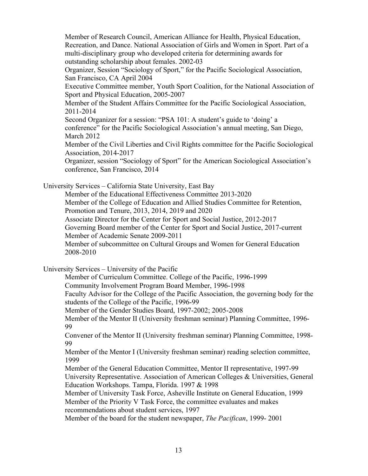Member of Research Council, American Alliance for Health, Physical Education, Recreation, and Dance. National Association of Girls and Women in Sport. Part of a multi-disciplinary group who developed criteria for determining awards for outstanding scholarship about females. 2002-03 Organizer, Session "Sociology of Sport," for the Pacific Sociological Association, San Francisco, CA April 2004 Executive Committee member, Youth Sport Coalition, for the National Association of Sport and Physical Education, 2005-2007 Member of the Student Affairs Committee for the Pacific Sociological Association, 2011-2014

Second Organizer for a session: "PSA 101: A student's guide to 'doing' a conference" for the Pacific Sociological Association's annual meeting, San Diego, March 2012

Member of the Civil Liberties and Civil Rights committee for the Pacific Sociological Association, 2014-2017

Organizer, session "Sociology of Sport" for the American Sociological Association's conference, San Francisco, 2014

University Services – California State University, East Bay

Member of the Educational Effectiveness Committee 2013-2020 Member of the College of Education and Allied Studies Committee for Retention, Promotion and Tenure, 2013, 2014, 2019 and 2020

Associate Director for the Center for Sport and Social Justice, 2012-2017

Governing Board member of the Center for Sport and Social Justice, 2017-current Member of Academic Senate 2009-2011

Member of subcommittee on Cultural Groups and Women for General Education 2008-2010

University Services – University of the Pacific

Member of Curriculum Committee. College of the Pacific, 1996-1999

Community Involvement Program Board Member, 1996-1998

Faculty Advisor for the College of the Pacific Association, the governing body for the students of the College of the Pacific, 1996-99

Member of the Gender Studies Board, 1997-2002; 2005-2008

Member of the Mentor II (University freshman seminar) Planning Committee, 1996- 99

Convener of the Mentor II (University freshman seminar) Planning Committee, 1998- 99

Member of the Mentor I (University freshman seminar) reading selection committee, 1999

Member of the General Education Committee, Mentor II representative, 1997-99 University Representative. Association of American Colleges & Universities, General Education Workshops. Tampa, Florida. 1997 & 1998

Member of University Task Force, Asheville Institute on General Education, 1999 Member of the Priority V Task Force, the committee evaluates and makes recommendations about student services, 1997

Member of the board for the student newspaper, *The Pacifican*, 1999- 2001